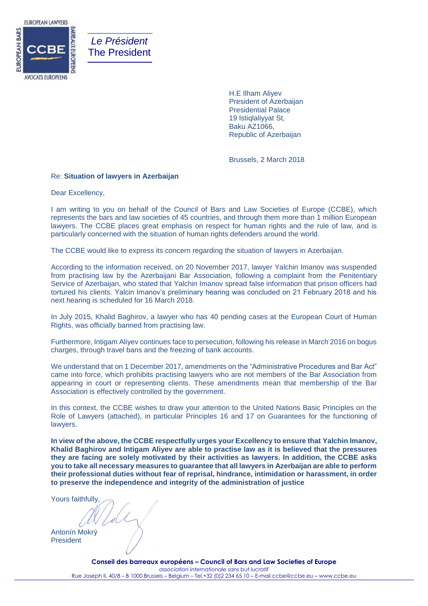**EUROPEAN LAWYERS** 





H.E Ilham Aliyev President of Azerbaijan Presidential Palace 19 Istiqlaliyyat St, Baku AZ1066, Republic of Azerbaijan

Brussels, 2 March 2018

## Re: **Situation of lawyers in Azerbaijan**

Dear Excellency,

I am writing to you on behalf of the Council of Bars and Law Societies of Europe (CCBE), which represents the bars and law societies of 45 countries, and through them more than 1 million European lawyers. The CCBE places great emphasis on respect for human rights and the rule of law, and is particularly concerned with the situation of human rights defenders around the world.

The CCBE would like to express its concern regarding the situation of lawyers in Azerbaijan.

According to the information received, on 20 November 2017, lawyer Yalchin Imanov was suspended from practising law by the Azerbaijani Bar Association, following a complaint from the Penitentiary Service of Azerbaijan, who stated that Yalchin Imanov spread false information that prison officers had tortured his clients. Yalcin Imanov's preliminary hearing was concluded on 21 February 2018 and his next hearing is scheduled for 16 March 2018.

In July 2015, Khalid Baghirov, a lawyer who has 40 pending cases at the European Court of Human Rights, was officially banned from practising law.

Furthermore, Intigam Aliyev continues face to persecution, following his release in March 2016 on bogus charges, through travel bans and the freezing of bank accounts.

We understand that on 1 December 2017, amendments on the "Administrative Procedures and Bar Act" came into force, which prohibits practising lawyers who are not members of the Bar Association from appearing in court or representing clients. These amendments mean that membership of the Bar Association is effectively controlled by the government.

In this context, the CCBE wishes to draw your attention to the United Nations Basic Principles on the Role of Lawyers (attached), in particular Principles 16 and 17 on Guarantees for the functioning of lawyers.

**In view of the above, the CCBE respectfully urges your Excellency to ensure that Yalchin Imanov, Khalid Baghirov and Intigam Aliyev are able to practise law as it is believed that the pressures they are facing are solely motivated by their activities as lawyers. In addition, the CCBE asks you to take all necessary measures to guarantee that all lawyers in Azerbaijan are able to perform their professional duties without fear of reprisal, hindrance, intimidation or harassment, in order to preserve the independence and integrity of the administration of justice**

Yours faithfully,

Antonín Mokrý President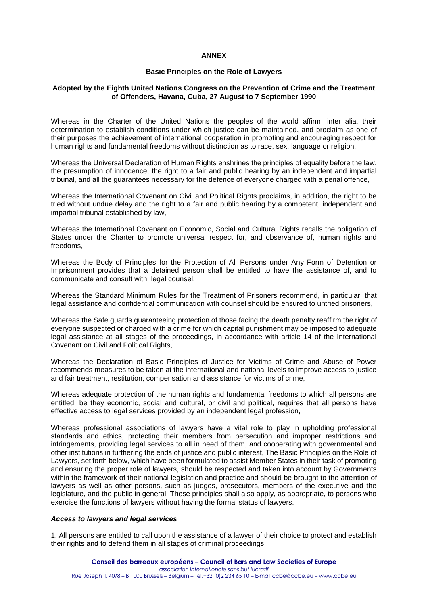## **ANNEX**

## **Basic Principles on the Role of Lawyers**

# **Adopted by the Eighth United Nations Congress on the Prevention of Crime and the Treatment of Offenders, Havana, Cuba, 27 August to 7 September 1990**

Whereas in the Charter of the United Nations the peoples of the world affirm, inter alia, their determination to establish conditions under which justice can be maintained, and proclaim as one of their purposes the achievement of international cooperation in promoting and encouraging respect for human rights and fundamental freedoms without distinction as to race, sex, language or religion,

Whereas the Universal Declaration of Human Rights enshrines the principles of equality before the law. the presumption of innocence, the right to a fair and public hearing by an independent and impartial tribunal, and all the guarantees necessary for the defence of everyone charged with a penal offence,

Whereas the International Covenant on Civil and Political Rights proclaims, in addition, the right to be tried without undue delay and the right to a fair and public hearing by a competent, independent and impartial tribunal established by law,

Whereas the International Covenant on Economic, Social and Cultural Rights recalls the obligation of States under the Charter to promote universal respect for, and observance of, human rights and freedoms,

Whereas the Body of Principles for the Protection of All Persons under Any Form of Detention or Imprisonment provides that a detained person shall be entitled to have the assistance of, and to communicate and consult with, legal counsel,

Whereas the Standard Minimum Rules for the Treatment of Prisoners recommend, in particular, that legal assistance and confidential communication with counsel should be ensured to untried prisoners,

Whereas the Safe guards guaranteeing protection of those facing the death penalty reaffirm the right of everyone suspected or charged with a crime for which capital punishment may be imposed to adequate legal assistance at all stages of the proceedings, in accordance with article 14 of the International Covenant on Civil and Political Rights,

Whereas the Declaration of Basic Principles of Justice for Victims of Crime and Abuse of Power recommends measures to be taken at the international and national levels to improve access to justice and fair treatment, restitution, compensation and assistance for victims of crime,

Whereas adequate protection of the human rights and fundamental freedoms to which all persons are entitled, be they economic, social and cultural, or civil and political, requires that all persons have effective access to legal services provided by an independent legal profession,

Whereas professional associations of lawyers have a vital role to play in upholding professional standards and ethics, protecting their members from persecution and improper restrictions and infringements, providing legal services to all in need of them, and cooperating with governmental and other institutions in furthering the ends of justice and public interest, The Basic Principles on the Role of Lawyers, set forth below, which have been formulated to assist Member States in their task of promoting and ensuring the proper role of lawyers, should be respected and taken into account by Governments within the framework of their national legislation and practice and should be brought to the attention of lawyers as well as other persons, such as judges, prosecutors, members of the executive and the legislature, and the public in general. These principles shall also apply, as appropriate, to persons who exercise the functions of lawyers without having the formal status of lawyers.

## *Access to lawyers and legal services*

1. All persons are entitled to call upon the assistance of a lawyer of their choice to protect and establish their rights and to defend them in all stages of criminal proceedings.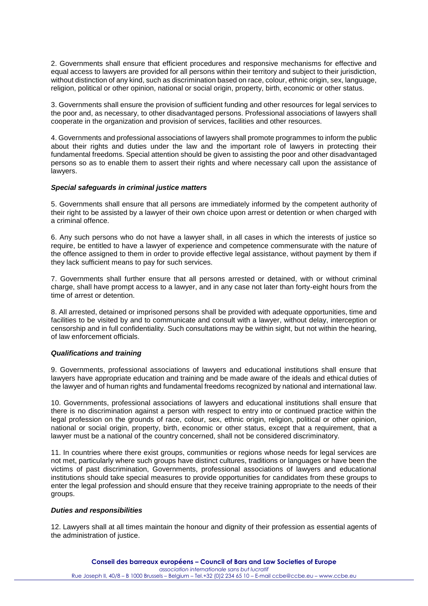2. Governments shall ensure that efficient procedures and responsive mechanisms for effective and equal access to lawyers are provided for all persons within their territory and subject to their jurisdiction, without distinction of any kind, such as discrimination based on race, colour, ethnic origin, sex, language, religion, political or other opinion, national or social origin, property, birth, economic or other status.

3. Governments shall ensure the provision of sufficient funding and other resources for legal services to the poor and, as necessary, to other disadvantaged persons. Professional associations of lawyers shall cooperate in the organization and provision of services, facilities and other resources.

4. Governments and professional associations of lawyers shall promote programmes to inform the public about their rights and duties under the law and the important role of lawyers in protecting their fundamental freedoms. Special attention should be given to assisting the poor and other disadvantaged persons so as to enable them to assert their rights and where necessary call upon the assistance of lawyers.

# *Special safeguards in criminal justice matters*

5. Governments shall ensure that all persons are immediately informed by the competent authority of their right to be assisted by a lawyer of their own choice upon arrest or detention or when charged with a criminal offence.

6. Any such persons who do not have a lawyer shall, in all cases in which the interests of justice so require, be entitled to have a lawyer of experience and competence commensurate with the nature of the offence assigned to them in order to provide effective legal assistance, without payment by them if they lack sufficient means to pay for such services.

7. Governments shall further ensure that all persons arrested or detained, with or without criminal charge, shall have prompt access to a lawyer, and in any case not later than forty-eight hours from the time of arrest or detention.

8. All arrested, detained or imprisoned persons shall be provided with adequate opportunities, time and facilities to be visited by and to communicate and consult with a lawyer, without delay, interception or censorship and in full confidentiality. Such consultations may be within sight, but not within the hearing, of law enforcement officials.

## *Qualifications and training*

9. Governments, professional associations of lawyers and educational institutions shall ensure that lawyers have appropriate education and training and be made aware of the ideals and ethical duties of the lawyer and of human rights and fundamental freedoms recognized by national and international law.

10. Governments, professional associations of lawyers and educational institutions shall ensure that there is no discrimination against a person with respect to entry into or continued practice within the legal profession on the grounds of race, colour, sex, ethnic origin, religion, political or other opinion, national or social origin, property, birth, economic or other status, except that a requirement, that a lawyer must be a national of the country concerned, shall not be considered discriminatory.

11. In countries where there exist groups, communities or regions whose needs for legal services are not met, particularly where such groups have distinct cultures, traditions or languages or have been the victims of past discrimination, Governments, professional associations of lawyers and educational institutions should take special measures to provide opportunities for candidates from these groups to enter the legal profession and should ensure that they receive training appropriate to the needs of their groups.

## *Duties and responsibilities*

12. Lawyers shall at all times maintain the honour and dignity of their profession as essential agents of the administration of justice.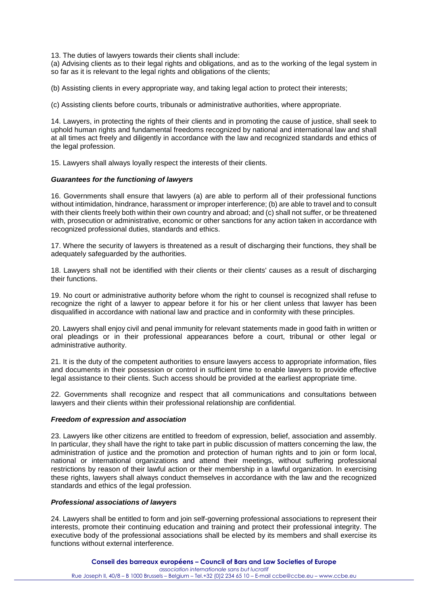13. The duties of lawyers towards their clients shall include:

(a) Advising clients as to their legal rights and obligations, and as to the working of the legal system in so far as it is relevant to the legal rights and obligations of the clients;

(b) Assisting clients in every appropriate way, and taking legal action to protect their interests;

(c) Assisting clients before courts, tribunals or administrative authorities, where appropriate.

14. Lawyers, in protecting the rights of their clients and in promoting the cause of justice, shall seek to uphold human rights and fundamental freedoms recognized by national and international law and shall at all times act freely and diligently in accordance with the law and recognized standards and ethics of the legal profession.

15. Lawyers shall always loyally respect the interests of their clients.

#### *Guarantees for the functioning of lawyers*

16. Governments shall ensure that lawyers (a) are able to perform all of their professional functions without intimidation, hindrance, harassment or improper interference; (b) are able to travel and to consult with their clients freely both within their own country and abroad; and (c) shall not suffer, or be threatened with, prosecution or administrative, economic or other sanctions for any action taken in accordance with recognized professional duties, standards and ethics.

17. Where the security of lawyers is threatened as a result of discharging their functions, they shall be adequately safeguarded by the authorities.

18. Lawyers shall not be identified with their clients or their clients' causes as a result of discharging their functions.

19. No court or administrative authority before whom the right to counsel is recognized shall refuse to recognize the right of a lawyer to appear before it for his or her client unless that lawyer has been disqualified in accordance with national law and practice and in conformity with these principles.

20. Lawyers shall enjoy civil and penal immunity for relevant statements made in good faith in written or oral pleadings or in their professional appearances before a court, tribunal or other legal or administrative authority.

21. It is the duty of the competent authorities to ensure lawyers access to appropriate information, files and documents in their possession or control in sufficient time to enable lawyers to provide effective legal assistance to their clients. Such access should be provided at the earliest appropriate time.

22. Governments shall recognize and respect that all communications and consultations between lawyers and their clients within their professional relationship are confidential.

#### *Freedom of expression and association*

23. Lawyers like other citizens are entitled to freedom of expression, belief, association and assembly. In particular, they shall have the right to take part in public discussion of matters concerning the law, the administration of justice and the promotion and protection of human rights and to join or form local, national or international organizations and attend their meetings, without suffering professional restrictions by reason of their lawful action or their membership in a lawful organization. In exercising these rights, lawyers shall always conduct themselves in accordance with the law and the recognized standards and ethics of the legal profession.

#### *Professional associations of lawyers*

24. Lawyers shall be entitled to form and join self-governing professional associations to represent their interests, promote their continuing education and training and protect their professional integrity. The executive body of the professional associations shall be elected by its members and shall exercise its functions without external interference.